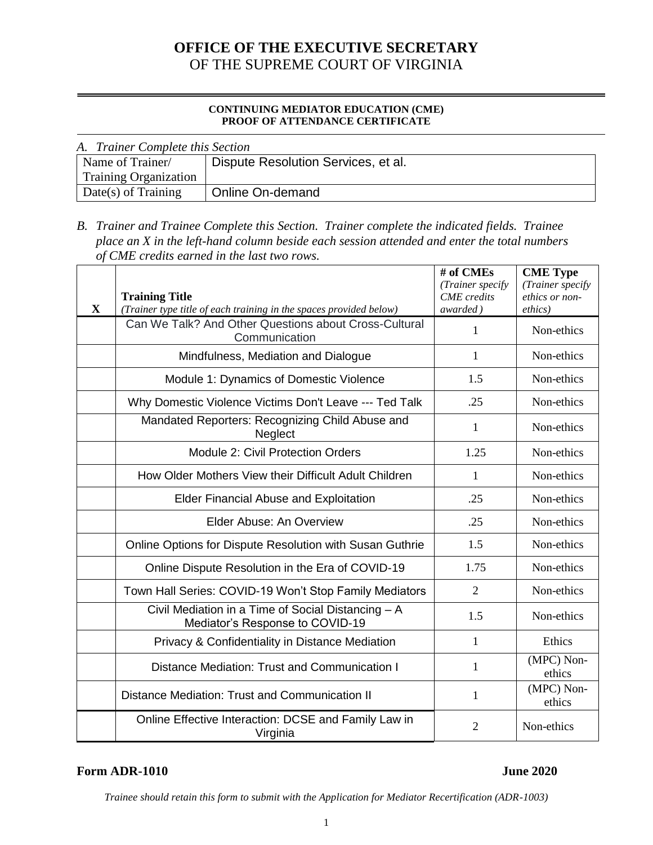# **OFFICE OF THE EXECUTIVE SECRETARY** OF THE SUPREME COURT OF VIRGINIA

#### **CONTINUING MEDIATOR EDUCATION (CME) PROOF OF ATTENDANCE CERTIFICATE**

| A. Trainer Complete this Section |                                     |  |  |  |
|----------------------------------|-------------------------------------|--|--|--|
| Name of Trainer/                 | Dispute Resolution Services, et al. |  |  |  |
| <b>Training Organization</b>     |                                     |  |  |  |
| Date(s) of Training              | Online On-demand                    |  |  |  |

*B. Trainer and Trainee Complete this Section. Trainer complete the indicated fields. Trainee place an X in the left-hand column beside each session attended and enter the total numbers of CME credits earned in the last two rows.*

| X | <b>Training Title</b><br>(Trainer type title of each training in the spaces provided below) | # of CMEs<br>(Trainer specify<br><b>CME</b> credits<br>awarded) | <b>CME</b> Type<br>(Trainer specify<br>ethics or non-<br>ethics) |
|---|---------------------------------------------------------------------------------------------|-----------------------------------------------------------------|------------------------------------------------------------------|
|   | Can We Talk? And Other Questions about Cross-Cultural<br>Communication                      | $\mathbf{1}$                                                    | Non-ethics                                                       |
|   | Mindfulness, Mediation and Dialogue                                                         | $\mathbf{1}$                                                    | Non-ethics                                                       |
|   | Module 1: Dynamics of Domestic Violence                                                     | 1.5                                                             | Non-ethics                                                       |
|   | Why Domestic Violence Victims Don't Leave --- Ted Talk                                      | .25                                                             | Non-ethics                                                       |
|   | Mandated Reporters: Recognizing Child Abuse and<br><b>Neglect</b>                           | 1                                                               | Non-ethics                                                       |
|   | Module 2: Civil Protection Orders                                                           | 1.25                                                            | Non-ethics                                                       |
|   | How Older Mothers View their Difficult Adult Children                                       | 1                                                               | Non-ethics                                                       |
|   | Elder Financial Abuse and Exploitation                                                      | .25                                                             | Non-ethics                                                       |
|   | Elder Abuse: An Overview                                                                    | .25                                                             | Non-ethics                                                       |
|   | Online Options for Dispute Resolution with Susan Guthrie                                    | 1.5                                                             | Non-ethics                                                       |
|   | Online Dispute Resolution in the Era of COVID-19                                            | 1.75                                                            | Non-ethics                                                       |
|   | Town Hall Series: COVID-19 Won't Stop Family Mediators                                      | $\overline{2}$                                                  | Non-ethics                                                       |
|   | Civil Mediation in a Time of Social Distancing - A<br>Mediator's Response to COVID-19       | 1.5                                                             | Non-ethics                                                       |
|   | Privacy & Confidentiality in Distance Mediation                                             | $\mathbf{1}$                                                    | Ethics                                                           |
|   | Distance Mediation: Trust and Communication I                                               | 1                                                               | (MPC) Non-<br>ethics                                             |
|   | Distance Mediation: Trust and Communication II                                              | $\mathbf{1}$                                                    | (MPC) Non-<br>ethics                                             |
|   | Online Effective Interaction: DCSE and Family Law in<br>Virginia                            | $\overline{2}$                                                  | Non-ethics                                                       |

### **Form ADR-1010** June 2020

*Trainee should retain this form to submit with the Application for Mediator Recertification (ADR-1003)*